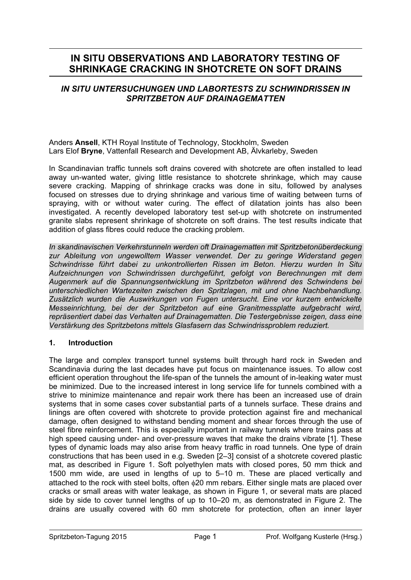# **IN SITU OBSERVATIONS AND LABORATORY TESTING OF SHRINKAGE CRACKING IN SHOTCRETE ON SOFT DRAINS**

## *IN SITU UNTERSUCHUNGEN UND LABORTESTS ZU SCHWINDRISSEN IN SPRITZBETON AUF DRAINAGEMATTEN*

Anders **Ansell**, KTH Royal Institute of Technology, Stockholm, Sweden Lars Elof **Bryne**, Vattenfall Research and Development AB, Älvkarleby, Sweden

In Scandinavian traffic tunnels soft drains covered with shotcrete are often installed to lead away un-wanted water, giving little resistance to shotcrete shrinkage, which may cause severe cracking. Mapping of shrinkage cracks was done in situ, followed by analyses focused on stresses due to drying shrinkage and various time of waiting between turns of spraying, with or without water curing. The effect of dilatation joints has also been investigated. A recently developed laboratory test set-up with shotcrete on instrumented granite slabs represent shrinkage of shotcrete on soft drains. The test results indicate that addition of glass fibres could reduce the cracking problem.

*In skandinavischen Verkehrstunneln werden oft Drainagematten mit Spritzbetonüberdeckung zur Ableitung von ungewolltem Wasser verwendet. Der zu geringe Widerstand gegen Schwindrisse führt dabei zu unkontrollierten Rissen im Beton. Hierzu wurden In Situ Aufzeichnungen von Schwindrissen durchgeführt, gefolgt von Berechnungen mit dem Augenmerk auf die Spannungsentwicklung im Spritzbeton während des Schwindens bei unterschiedlichen Wartezeiten zwischen den Spritzlagen, mit und ohne Nachbehandlung. Zusätzlich wurden die Auswirkungen von Fugen untersucht. Eine vor kurzem entwickelte Messeinrichtung, bei der der Spritzbeton auf eine Granitmessplatte aufgebracht wird, repräsentiert dabei das Verhalten auf Drainagematten. Die Testergebnisse zeigen, dass eine Verstärkung des Spritzbetons mittels Glasfasern das Schwindrissproblem reduziert.* 

## **1. Introduction**

The large and complex transport tunnel systems built through hard rock in Sweden and Scandinavia during the last decades have put focus on maintenance issues. To allow cost efficient operation throughout the life-span of the tunnels the amount of in-leaking water must be minimized. Due to the increased interest in long service life for tunnels combined with a strive to minimize maintenance and repair work there has been an increased use of drain systems that in some cases cover substantial parts of a tunnels surface. These drains and linings are often covered with shotcrete to provide protection against fire and mechanical damage, often designed to withstand bending moment and shear forces through the use of steel fibre reinforcement. This is especially important in railway tunnels where trains pass at high speed causing under- and over-pressure waves that make the drains vibrate [1]. These types of dynamic loads may also arise from heavy traffic in road tunnels. One type of drain constructions that has been used in e.g. Sweden [2–3] consist of a shotcrete covered plastic mat, as described in Figure 1. Soft polyethylen mats with closed pores, 50 mm thick and 1500 mm wide, are used in lengths of up to 5–10 m. These are placed vertically and attached to the rock with steel bolts, often φ20 mm rebars. Either single mats are placed over cracks or small areas with water leakage, as shown in Figure 1, or several mats are placed side by side to cover tunnel lengths of up to 10–20 m, as demonstrated in Figure 2. The drains are usually covered with 60 mm shotcrete for protection, often an inner layer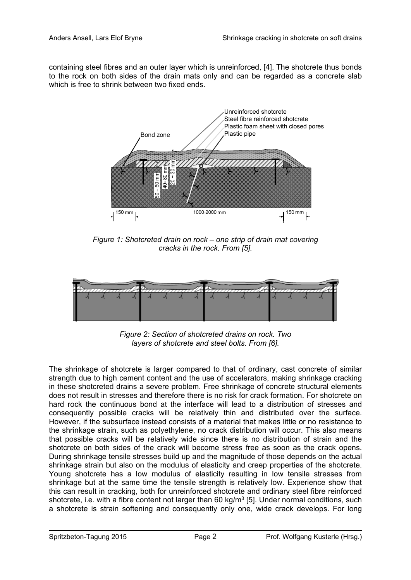containing steel fibres and an outer layer which is unreinforced, [4]. The shotcrete thus bonds to the rock on both sides of the drain mats only and can be regarded as a concrete slab which is free to shrink between two fixed ends.



*Figure 1: Shotcreted drain on rock – one strip of drain mat covering cracks in the rock. From [5].* 



*Figure 2: Section of shotcreted drains on rock. Two layers of shotcrete and steel bolts. From [6].* 

The shrinkage of shotcrete is larger compared to that of ordinary, cast concrete of similar strength due to high cement content and the use of accelerators, making shrinkage cracking in these shotcreted drains a severe problem. Free shrinkage of concrete structural elements does not result in stresses and therefore there is no risk for crack formation. For shotcrete on hard rock the continuous bond at the interface will lead to a distribution of stresses and consequently possible cracks will be relatively thin and distributed over the surface. However, if the subsurface instead consists of a material that makes little or no resistance to the shrinkage strain, such as polyethylene, no crack distribution will occur. This also means that possible cracks will be relatively wide since there is no distribution of strain and the shotcrete on both sides of the crack will become stress free as soon as the crack opens. During shrinkage tensile stresses build up and the magnitude of those depends on the actual shrinkage strain but also on the modulus of elasticity and creep properties of the shotcrete. Young shotcrete has a low modulus of elasticity resulting in low tensile stresses from shrinkage but at the same time the tensile strength is relatively low. Experience show that this can result in cracking, both for unreinforced shotcrete and ordinary steel fibre reinforced shotcrete, i.e. with a fibre content not larger than 60 kg/m<sup>3</sup> [5]. Under normal conditions, such a shotcrete is strain softening and consequently only one, wide crack develops. For long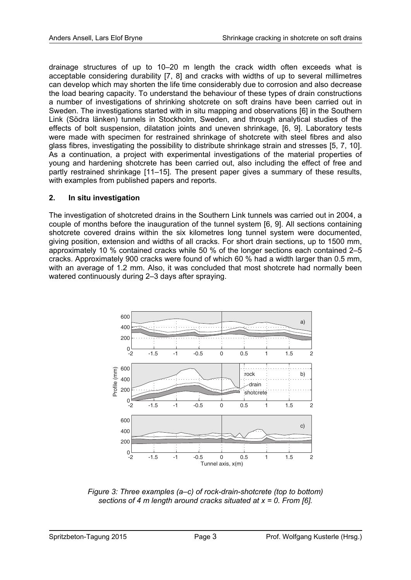drainage structures of up to 10–20 m length the crack width often exceeds what is acceptable considering durability [7, 8] and cracks with widths of up to several millimetres can develop which may shorten the life time considerably due to corrosion and also decrease the load bearing capacity. To understand the behaviour of these types of drain constructions a number of investigations of shrinking shotcrete on soft drains have been carried out in Sweden. The investigations started with in situ mapping and observations [6] in the Southern Link (Södra länken) tunnels in Stockholm, Sweden, and through analytical studies of the effects of bolt suspension, dilatation joints and uneven shrinkage, [6, 9]. Laboratory tests were made with specimen for restrained shrinkage of shotcrete with steel fibres and also glass fibres, investigating the possibility to distribute shrinkage strain and stresses [5, 7, 10]. As a continuation, a project with experimental investigations of the material properties of young and hardening shotcrete has been carried out, also including the effect of free and partly restrained shrinkage [11–15]. The present paper gives a summary of these results, with examples from published papers and reports.

## **2. In situ investigation**

The investigation of shotcreted drains in the Southern Link tunnels was carried out in 2004, a couple of months before the inauguration of the tunnel system [6, 9]. All sections containing shotcrete covered drains within the six kilometres long tunnel system were documented, giving position, extension and widths of all cracks. For short drain sections, up to 1500 mm, approximately 10 % contained cracks while 50 % of the longer sections each contained 2–5 cracks. Approximately 900 cracks were found of which 60 % had a width larger than 0.5 mm, with an average of 1.2 mm. Also, it was concluded that most shotcrete had normally been watered continuously during 2–3 days after spraying.



*Figure 3: Three examples (a–c) of rock-drain-shotcrete (top to bottom) sections of 4 m length around cracks situated at x = 0. From [6].*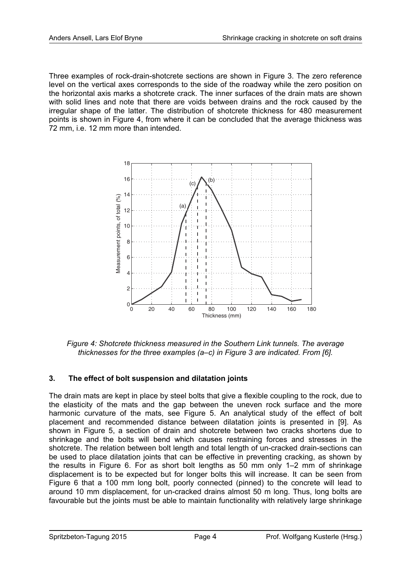Three examples of rock-drain-shotcrete sections are shown in Figure 3. The zero reference level on the vertical axes corresponds to the side of the roadway while the zero position on the horizontal axis marks a shotcrete crack. The inner surfaces of the drain mats are shown with solid lines and note that there are voids between drains and the rock caused by the irregular shape of the latter. The distribution of shotcrete thickness for 480 measurement points is shown in Figure 4, from where it can be concluded that the average thickness was 72 mm, i.e. 12 mm more than intended.



*Figure 4: Shotcrete thickness measured in the Southern Link tunnels. The average thicknesses for the three examples (a–c) in Figure 3 are indicated. From [6].* 

# **3. The effect of bolt suspension and dilatation joints**

The drain mats are kept in place by steel bolts that give a flexible coupling to the rock, due to the elasticity of the mats and the gap between the uneven rock surface and the more harmonic curvature of the mats, see Figure 5. An analytical study of the effect of bolt placement and recommended distance between dilatation joints is presented in [9]. As shown in Figure 5, a section of drain and shotcrete between two cracks shortens due to shrinkage and the bolts will bend which causes restraining forces and stresses in the shotcrete. The relation between bolt length and total length of un-cracked drain-sections can be used to place dilatation joints that can be effective in preventing cracking, as shown by the results in Figure 6. For as short bolt lengths as 50 mm only 1–2 mm of shrinkage displacement is to be expected but for longer bolts this will increase. It can be seen from Figure 6 that a 100 mm long bolt, poorly connected (pinned) to the concrete will lead to around 10 mm displacement, for un-cracked drains almost 50 m long. Thus, long bolts are favourable but the joints must be able to maintain functionality with relatively large shrinkage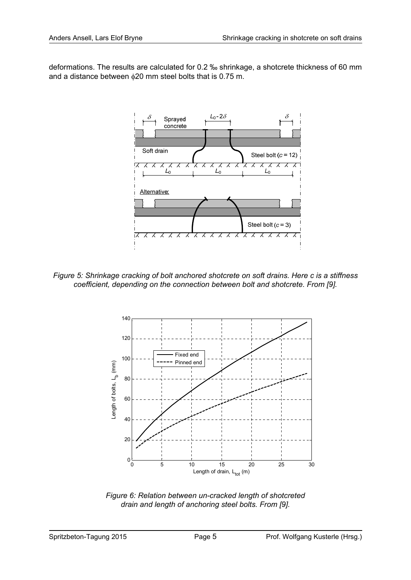deformations. The results are calculated for 0.2 ‰ shrinkage, a shotcrete thickness of 60 mm and a distance between φ20 mm steel bolts that is 0.75 m.



*Figure 5: Shrinkage cracking of bolt anchored shotcrete on soft drains. Here c is a stiffness coefficient, depending on the connection between bolt and shotcrete. From [9].* 



*Figure 6: Relation between un-cracked length of shotcreted drain and length of anchoring steel bolts. From [9].*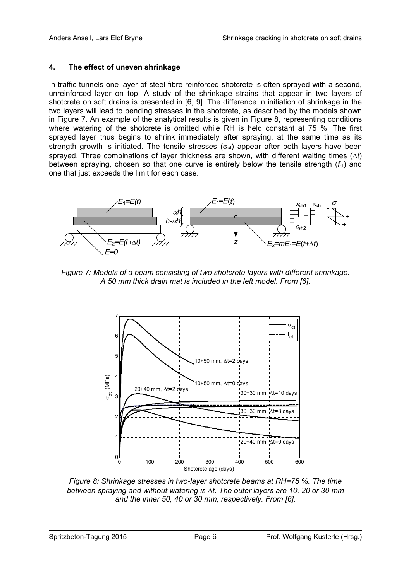## **4. The effect of uneven shrinkage**

In traffic tunnels one layer of steel fibre reinforced shotcrete is often sprayed with a second, unreinforced layer on top. A study of the shrinkage strains that appear in two layers of shotcrete on soft drains is presented in [6, 9]. The difference in initiation of shrinkage in the two layers will lead to bending stresses in the shotcrete, as described by the models shown in Figure 7. An example of the analytical results is given in Figure 8, representing conditions where watering of the shotcrete is omitted while RH is held constant at 75 %. The first sprayed layer thus begins to shrink immediately after spraying, at the same time as its strength growth is initiated. The tensile stresses ( $\sigma_{ct}$ ) appear after both layers have been sprayed. Three combinations of layer thickness are shown, with different waiting times (Δ*t*) between spraying, chosen so that one curve is entirely below the tensile strength  $(f_{ct})$  and one that just exceeds the limit for each case.



*Figure 7: Models of a beam consisting of two shotcrete layers with different shrinkage. A 50 mm thick drain mat is included in the left model. From [6].* 



*Figure 8: Shrinkage stresses in two-layer shotcrete beams at RH=75 %. The time between spraying and without watering is* Δ*t. The outer layers are 10, 20 or 30 mm and the inner 50, 40 or 30 mm, respectively. From [6].*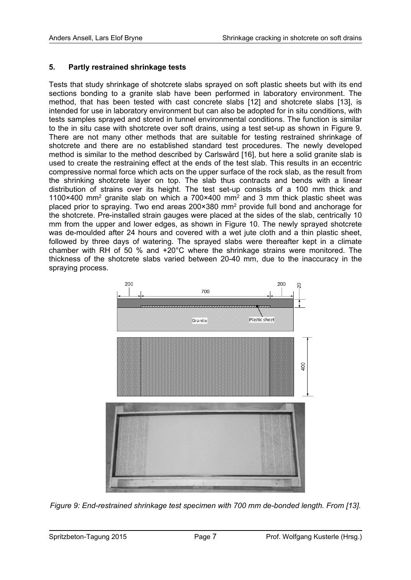### **5. Partly restrained shrinkage tests**

Tests that study shrinkage of shotcrete slabs sprayed on soft plastic sheets but with its end sections bonding to a granite slab have been performed in laboratory environment. The method, that has been tested with cast concrete slabs [12] and shotcrete slabs [13], is intended for use in laboratory environment but can also be adopted for in situ conditions, with tests samples sprayed and stored in tunnel environmental conditions. The function is similar to the in situ case with shotcrete over soft drains, using a test set-up as shown in Figure 9. There are not many other methods that are suitable for testing restrained shrinkage of shotcrete and there are no established standard test procedures. The newly developed method is similar to the method described by Carlswärd [16], but here a solid granite slab is used to create the restraining effect at the ends of the test slab. This results in an eccentric compressive normal force which acts on the upper surface of the rock slab, as the result from the shrinking shotcrete layer on top. The slab thus contracts and bends with a linear distribution of strains over its height. The test set-up consists of a 100 mm thick and 1100×400 mm2 granite slab on which a 700×400 mm2 and 3 mm thick plastic sheet was placed prior to spraying. Two end areas 200×380 mm2 provide full bond and anchorage for the shotcrete. Pre-installed strain gauges were placed at the sides of the slab, centrically 10 mm from the upper and lower edges, as shown in Figure 10. The newly sprayed shotcrete was de-moulded after 24 hours and covered with a wet jute cloth and a thin plastic sheet, followed by three days of watering. The sprayed slabs were thereafter kept in a climate chamber with RH of 50 % and +20°C where the shrinkage strains were monitored. The thickness of the shotcrete slabs varied between 20-40 mm, due to the inaccuracy in the spraying process.



*Figure 9: End-restrained shrinkage test specimen with 700 mm de-bonded length. From [13].*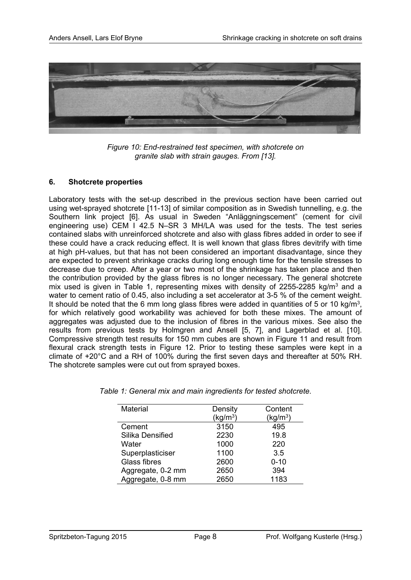

*Figure 10: End-restrained test specimen, with shotcrete on granite slab with strain gauges. From [13].* 

#### **6. Shotcrete properties**

Laboratory tests with the set-up described in the previous section have been carried out using wet-sprayed shotcrete [11-13] of similar composition as in Swedish tunnelling, e.g. the Southern link project [6]. As usual in Sweden "Anläggningscement" (cement for civil engineering use) CEM I 42.5 N–SR 3 MH/LA was used for the tests. The test series contained slabs with unreinforced shotcrete and also with glass fibres added in order to see if these could have a crack reducing effect. It is well known that glass fibres devitrify with time at high pH-values, but that has not been considered an important disadvantage, since they are expected to prevent shrinkage cracks during long enough time for the tensile stresses to decrease due to creep. After a year or two most of the shrinkage has taken place and then the contribution provided by the glass fibres is no longer necessary. The general shotcrete mix used is given in Table 1, representing mixes with density of 2255-2285 kg/m<sup>3</sup> and a water to cement ratio of 0.45, also including a set accelerator at 3-5 % of the cement weight. It should be noted that the 6 mm long glass fibres were added in quantities of 5 or 10 kg/m<sup>3</sup>, for which relatively good workability was achieved for both these mixes. The amount of aggregates was adjusted due to the inclusion of fibres in the various mixes. See also the results from previous tests by Holmgren and Ansell [5, 7], and Lagerblad et al. [10]. Compressive strength test results for 150 mm cubes are shown in Figure 11 and result from flexural crack strength tests in Figure 12. Prior to testing these samples were kept in a climate of +20°C and a RH of 100% during the first seven days and thereafter at 50% RH. The shotcrete samples were cut out from sprayed boxes.

| Material          | Density              | Content              |
|-------------------|----------------------|----------------------|
|                   | (kg/m <sup>3</sup> ) | (kg/m <sup>3</sup> ) |
| Cement            | 3150                 | 495                  |
| Silika Densified  | 2230                 | 19.8                 |
| Water             | 1000                 | 220                  |
| Superplasticiser  | 1100                 | 3.5                  |
| Glass fibres      | 2600                 | $0 - 10$             |
| Aggregate, 0-2 mm | 2650                 | 394                  |
| Aggregate, 0-8 mm | 2650                 | 1183                 |

*Table 1: General mix and main ingredients for tested shotcrete.*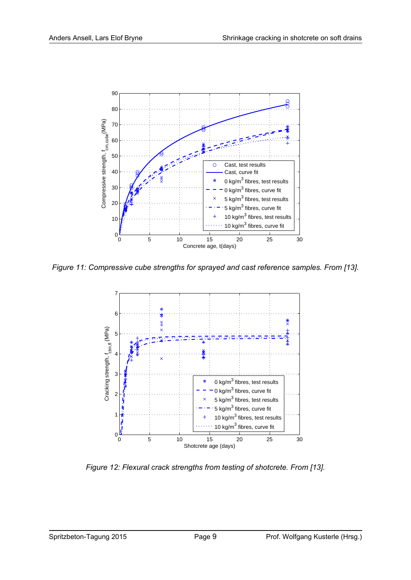

*Figure 11: Compressive cube strengths for sprayed and cast reference samples. From [13].* 



*Figure 12: Flexural crack strengths from testing of shotcrete. From [13].*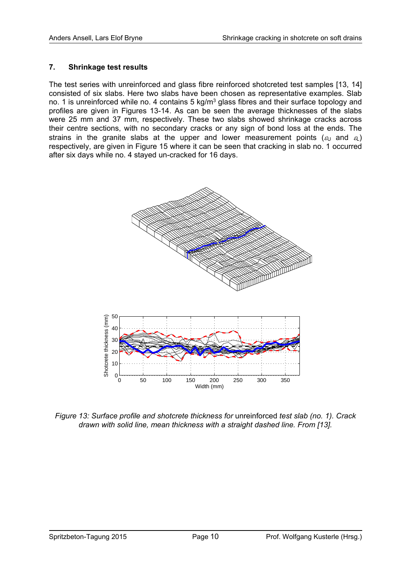#### **7. Shrinkage test results**

The test series with unreinforced and glass fibre reinforced shotcreted test samples [13, 14] consisted of six slabs. Here two slabs have been chosen as representative examples. Slab no. 1 is unreinforced while no. 4 contains 5 kg/m<sup>3</sup> glass fibres and their surface topology and profiles are given in Figures 13-14. As can be seen the average thicknesses of the slabs were 25 mm and 37 mm, respectively. These two slabs showed shrinkage cracks across their centre sections, with no secondary cracks or any sign of bond loss at the ends. The strains in the granite slabs at the upper and lower measurement points ( $\epsilon_{U}$  and  $\epsilon_{L}$ ) respectively, are given in Figure 15 where it can be seen that cracking in slab no. 1 occurred after six days while no. 4 stayed un-cracked for 16 days.



*Figure 13: Surface profile and shotcrete thickness for unreinforced test slab (no. 1). Crack drawn with solid line, mean thickness with a straight dashed line. From [13].*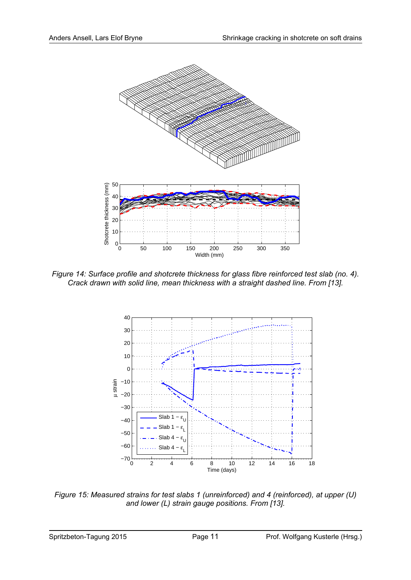

*Figure 14: Surface profile and shotcrete thickness for glass fibre reinforced test slab (no. 4). Crack drawn with solid line, mean thickness with a straight dashed line. From [13].* 



*Figure 15: Measured strains for test slabs 1 (unreinforced) and 4 (reinforced), at upper (U) and lower (L) strain gauge positions. From [13].*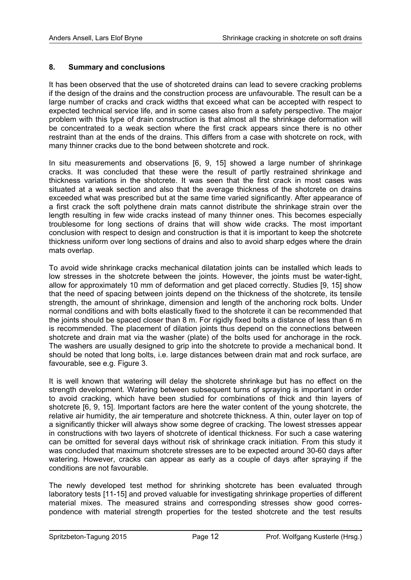#### **8. Summary and conclusions**

It has been observed that the use of shotcreted drains can lead to severe cracking problems if the design of the drains and the construction process are unfavourable. The result can be a large number of cracks and crack widths that exceed what can be accepted with respect to expected technical service life, and in some cases also from a safety perspective. The major problem with this type of drain construction is that almost all the shrinkage deformation will be concentrated to a weak section where the first crack appears since there is no other restraint than at the ends of the drains. This differs from a case with shotcrete on rock, with many thinner cracks due to the bond between shotcrete and rock.

In situ measurements and observations [6, 9, 15] showed a large number of shrinkage cracks. It was concluded that these were the result of partly restrained shrinkage and thickness variations in the shotcrete. It was seen that the first crack in most cases was situated at a weak section and also that the average thickness of the shotcrete on drains exceeded what was prescribed but at the same time varied significantly. After appearance of a first crack the soft polythene drain mats cannot distribute the shrinkage strain over the length resulting in few wide cracks instead of many thinner ones. This becomes especially troublesome for long sections of drains that will show wide cracks. The most important conclusion with respect to design and construction is that it is important to keep the shotcrete thickness uniform over long sections of drains and also to avoid sharp edges where the drain mats overlap.

To avoid wide shrinkage cracks mechanical dilatation joints can be installed which leads to low stresses in the shotcrete between the joints. However, the joints must be water-tight, allow for approximately 10 mm of deformation and get placed correctly. Studies [9, 15] show that the need of spacing between joints depend on the thickness of the shotcrete, its tensile strength, the amount of shrinkage, dimension and length of the anchoring rock bolts. Under normal conditions and with bolts elastically fixed to the shotcrete it can be recommended that the joints should be spaced closer than 8 m. For rigidly fixed bolts a distance of less than 6 m is recommended. The placement of dilation joints thus depend on the connections between shotcrete and drain mat via the washer (plate) of the bolts used for anchorage in the rock. The washers are usually designed to grip into the shotcrete to provide a mechanical bond. It should be noted that long bolts, i.e. large distances between drain mat and rock surface, are favourable, see e.g. Figure 3.

It is well known that watering will delay the shotcrete shrinkage but has no effect on the strength development. Watering between subsequent turns of spraying is important in order to avoid cracking, which have been studied for combinations of thick and thin layers of shotcrete [6, 9, 15]. Important factors are here the water content of the young shotcrete, the relative air humidity, the air temperature and shotcrete thickness. A thin, outer layer on top of a significantly thicker will always show some degree of cracking. The lowest stresses appear in constructions with two layers of shotcrete of identical thickness. For such a case watering can be omitted for several days without risk of shrinkage crack initiation. From this study it was concluded that maximum shotcrete stresses are to be expected around 30-60 days after watering. However, cracks can appear as early as a couple of days after spraying if the conditions are not favourable.

The newly developed test method for shrinking shotcrete has been evaluated through laboratory tests [11-15] and proved valuable for investigating shrinkage properties of different material mixes. The measured strains and corresponding stresses show good correspondence with material strength properties for the tested shotcrete and the test results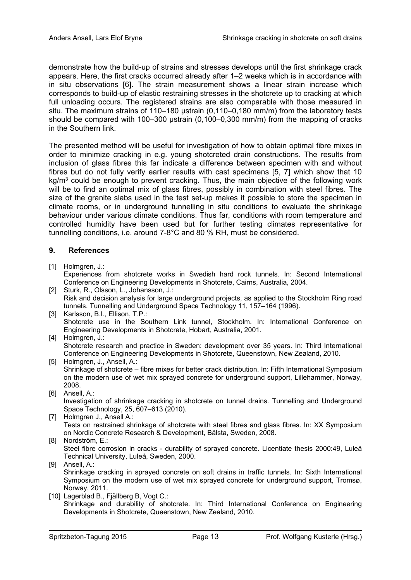demonstrate how the build-up of strains and stresses develops until the first shrinkage crack appears. Here, the first cracks occurred already after 1–2 weeks which is in accordance with in situ observations [6]. The strain measurement shows a linear strain increase which corresponds to build-up of elastic restraining stresses in the shotcrete up to cracking at which full unloading occurs. The registered strains are also comparable with those measured in situ. The maximum strains of 110–180 µstrain (0,110–0,180 mm/m) from the laboratory tests should be compared with 100–300 µstrain (0,100–0,300 mm/m) from the mapping of cracks in the Southern link.

The presented method will be useful for investigation of how to obtain optimal fibre mixes in order to minimize cracking in e.g. young shotcreted drain constructions. The results from inclusion of glass fibres this far indicate a difference between specimen with and without fibres but do not fully verify earlier results with cast specimens [5, 7] which show that 10 kg/m<sup>3</sup> could be enough to prevent cracking. Thus, the main objective of the following work will be to find an optimal mix of glass fibres, possibly in combination with steel fibres. The size of the granite slabs used in the test set-up makes it possible to store the specimen in climate rooms, or in underground tunnelling in situ conditions to evaluate the shrinkage behaviour under various climate conditions. Thus far, conditions with room temperature and controlled humidity have been used but for further testing climates representative for tunnelling conditions, i.e. around 7-8°C and 80 % RH, must be considered.

#### **9. References**

- [1] Holmgren, J.: Experiences from shotcrete works in Swedish hard rock tunnels. In: Second International Conference on Engineering Developments in Shotcrete, Cairns, Australia, 2004.
- [2] Sturk, R., Olsson, L., Johansson, J.: Risk and decision analysis for large underground projects, as applied to the Stockholm Ring road tunnels. Tunnelling and Underground Space Technology 11, 157–164 (1996).
- [3] Karlsson, B.I., Ellison, T.P.: Shotcrete use in the Southern Link tunnel, Stockholm. In: International Conference on Engineering Developments in Shotcrete, Hobart, Australia, 2001.
- [4] Holmgren, J.: Shotcrete research and practice in Sweden: development over 35 years. In: Third International Conference on Engineering Developments in Shotcrete, Queenstown, New Zealand, 2010.
- [5] Holmgren, J., Ansell, A.: Shrinkage of shotcrete – fibre mixes for better crack distribution. In: Fifth International Symposium on the modern use of wet mix sprayed concrete for underground support, Lillehammer, Norway, 2008.
- [6] Ansell, A.: Investigation of shrinkage cracking in shotcrete on tunnel drains. Tunnelling and Underground Space Technology, 25, 607–613 (2010).
- [7] Holmgren J., Ansell A.: Tests on restrained shrinkage of shotcrete with steel fibres and glass fibres. In: XX Symposium on Nordic Concrete Research & Development, Bålsta, Sweden, 2008.
- [8] Nordström, E.: Steel fibre corrosion in cracks - durability of sprayed concrete. Licentiate thesis 2000:49, Luleå Technical University, Luleå, Sweden, 2000.
- [9] Ansell, A.: Shrinkage cracking in sprayed concrete on soft drains in traffic tunnels. In: Sixth International Symposium on the modern use of wet mix sprayed concrete for underground support, Tromsø, Norway, 2011.
- [10] Lagerblad B., Fjällberg B, Vogt C.: Shrinkage and durability of shotcrete. In: Third International Conference on Engineering Developments in Shotcrete, Queenstown, New Zealand, 2010.